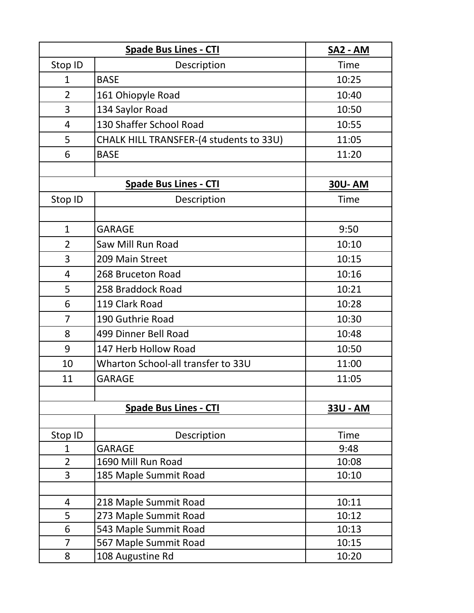| <b>Spade Bus Lines - CTI</b> |                                         | SA2 - AM      |
|------------------------------|-----------------------------------------|---------------|
| Stop ID                      | Description                             | Time          |
| $\mathbf{1}$                 | <b>BASE</b>                             | 10:25         |
| $\overline{2}$               | 161 Ohiopyle Road                       | 10:40         |
| 3                            | 134 Saylor Road                         | 10:50         |
| 4                            | 130 Shaffer School Road                 | 10:55         |
| 5                            | CHALK HILL TRANSFER-(4 students to 33U) | 11:05         |
| 6                            | <b>BASE</b>                             | 11:20         |
|                              |                                         |               |
| <b>Spade Bus Lines - CTI</b> |                                         | <b>30U-AM</b> |
| Stop ID                      | Description                             | Time          |
|                              |                                         |               |
| $\mathbf{1}$                 | <b>GARAGE</b>                           | 9:50          |
| $\overline{2}$               | Saw Mill Run Road                       | 10:10         |
| 3                            | 209 Main Street                         | 10:15         |
| 4                            | 268 Bruceton Road                       | 10:16         |
| 5                            | 258 Braddock Road                       | 10:21         |
| 6                            | 119 Clark Road                          | 10:28         |
| 7                            | 190 Guthrie Road                        | 10:30         |
| 8                            | 499 Dinner Bell Road                    | 10:48         |
| 9                            | 147 Herb Hollow Road                    | 10:50         |
| 10                           | Wharton School-all transfer to 33U      | 11:00         |
| 11                           | <b>GARAGE</b>                           | 11:05         |
|                              |                                         |               |
|                              | <b>Spade Bus Lines - CTI</b>            | 33U - AM      |
|                              |                                         |               |
| Stop ID                      | Description                             | Time          |
| 1                            | <b>GARAGE</b>                           | 9:48          |
| $\overline{2}$               | 1690 Mill Run Road                      | 10:08         |
| 3                            | 185 Maple Summit Road                   | 10:10         |
| 4                            | 218 Maple Summit Road                   | 10:11         |
| 5                            | 273 Maple Summit Road                   | 10:12         |
| 6                            | 543 Maple Summit Road                   | 10:13         |
| $\overline{7}$               | 567 Maple Summit Road                   | 10:15         |
| 8                            | 108 Augustine Rd                        | 10:20         |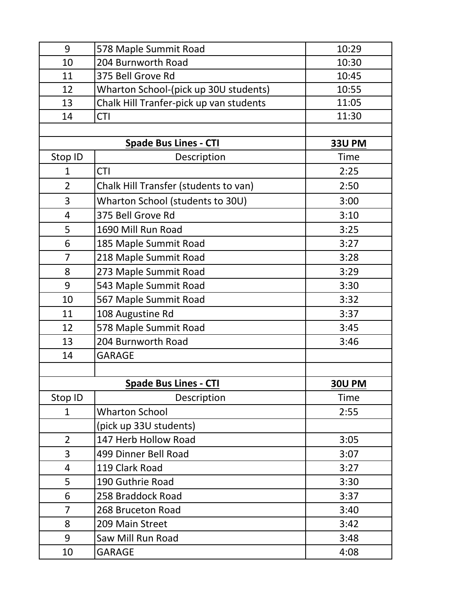| 9              | 578 Maple Summit Road                   | 10:29         |
|----------------|-----------------------------------------|---------------|
| 10             | 204 Burnworth Road                      | 10:30         |
| 11             | 375 Bell Grove Rd                       | 10:45         |
| 12             | Wharton School-(pick up 30U students)   | 10:55         |
| 13             | Chalk Hill Tranfer-pick up van students | 11:05         |
| 14             | <b>CTI</b>                              | 11:30         |
|                |                                         |               |
|                | <b>Spade Bus Lines - CTI</b>            | <b>33U PM</b> |
| Stop ID        | Description                             | <b>Time</b>   |
| $\mathbf 1$    | <b>CTI</b>                              | 2:25          |
| $\overline{2}$ | Chalk Hill Transfer (students to van)   | 2:50          |
| 3              | Wharton School (students to 30U)        | 3:00          |
| 4              | 375 Bell Grove Rd                       | 3:10          |
| 5              | 1690 Mill Run Road                      | 3:25          |
| 6              | 185 Maple Summit Road                   | 3:27          |
| $\overline{7}$ | 218 Maple Summit Road                   | 3:28          |
| 8              | 273 Maple Summit Road                   | 3:29          |
| 9              | 543 Maple Summit Road                   | 3:30          |
| 10             | 567 Maple Summit Road                   | 3:32          |
| 11             | 108 Augustine Rd                        | 3:37          |
| 12             | 578 Maple Summit Road                   | 3:45          |
| 13             | 204 Burnworth Road                      | 3:46          |
| 14             | <b>GARAGE</b>                           |               |
|                |                                         |               |
|                | <b>Spade Bus Lines - CTI</b>            | <b>30U PM</b> |
| Stop ID        | Description                             | <b>Time</b>   |
| $\mathbf{1}$   | <b>Wharton School</b>                   | 2:55          |
|                | (pick up 33U students)                  |               |
| $\overline{2}$ | 147 Herb Hollow Road                    | 3:05          |
| 3              | 499 Dinner Bell Road                    | 3:07          |
| $\overline{4}$ | 119 Clark Road                          | 3:27          |
| 5              | 190 Guthrie Road                        | 3:30          |
| 6              | 258 Braddock Road                       | 3:37          |
| 7              | 268 Bruceton Road                       | 3:40          |
| 8              | 209 Main Street                         | 3:42          |
| 9              | Saw Mill Run Road                       | 3:48          |
| 10             | <b>GARAGE</b>                           | 4:08          |